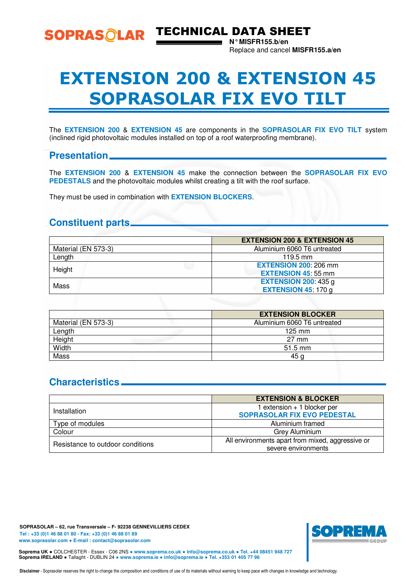

SOPRASOLAR TECHNICAL DATA SHEET

**N° MISFR155.b/en**  Replace and cancel **MISFR155.a/en** 

# EXTENSION 200 & EXTENSION 45 SOPRASOLAR FIX EVO TILT

The **EXTENSION 200** & **EXTENSION 45** are components in the **SOPRASOLAR FIX EVO TILT** system (inclined rigid photovoltaic modules installed on top of a roof waterproofing membrane).

#### **Presentation**

The **EXTENSION 200** & **EXTENSION 45** make the connection between the **SOPRASOLAR FIX EVO PEDESTALS** and the photovoltaic modules whilst creating a tilt with the roof surface.

They must be used in combination with **EXTENSION BLOCKERS**.

## **Constituent parts**

|                     | <b>EXTENSION 200 &amp; EXTENSION 45</b> |
|---------------------|-----------------------------------------|
| Material (EN 573-3) | Aluminium 6060 T6 untreated             |
| Length              | $119.5 \text{ mm}$                      |
| Height              | <b>EXTENSION 200: 206 mm</b>            |
|                     | <b>EXTENSION 45:55 mm</b>               |
| Mass                | <b>EXTENSION 200: 435 g</b>             |
|                     | <b>EXTENSION 45 170 g</b>               |

|                     | <b>EXTENSION BLOCKER</b>    |
|---------------------|-----------------------------|
| Material (EN 573-3) | Aluminium 6060 T6 untreated |
| Length              | $125 \text{ mm}$            |
| Height              | $27 \text{ mm}$             |
| Width               | $51.5 \text{ mm}$           |
| Mass                | 45 g                        |

## **Characteristics**

|                                  | <b>EXTENSION &amp; BLOCKER</b>                   |
|----------------------------------|--------------------------------------------------|
| Installation                     | 1 extension + 1 blocker per                      |
|                                  | <b>SOPRASOLAR FIX EVO PEDESTAL</b>               |
| Type of modules                  | Aluminium framed                                 |
| Colour                           | Grey Aluminium                                   |
| Resistance to outdoor conditions | All environments apart from mixed, aggressive or |
|                                  | severe environments                              |

**SOPRASOLAR – 62, rue Transversale – F- 92238 GENNEVILLIERS CEDEX Tel : +33 (0)1 46 88 01 80 - Fax: +33 (0)1 46 88 01 89 www.soprasolar.com** ● **E-mail : contact@soprasolar.com** 



**Soprema UK** ● COLCHESTER - Essex - C06 2NS ● **www.soprema.co.uk** ● **info@soprema.co.uk** ● **Tel. +44 08451 948 727 Soprema IRELAND** ● Tallaght - DUBLIN 24 ● **www.soprema.ie** ● **info@soprema.ie** ● **Tel. +353 01 405 77 96** 

Disclaimer - Soprasolar reserves the right to change the composition and conditions of use of its materials without warning to keep pace with changes in knowledge and technology.